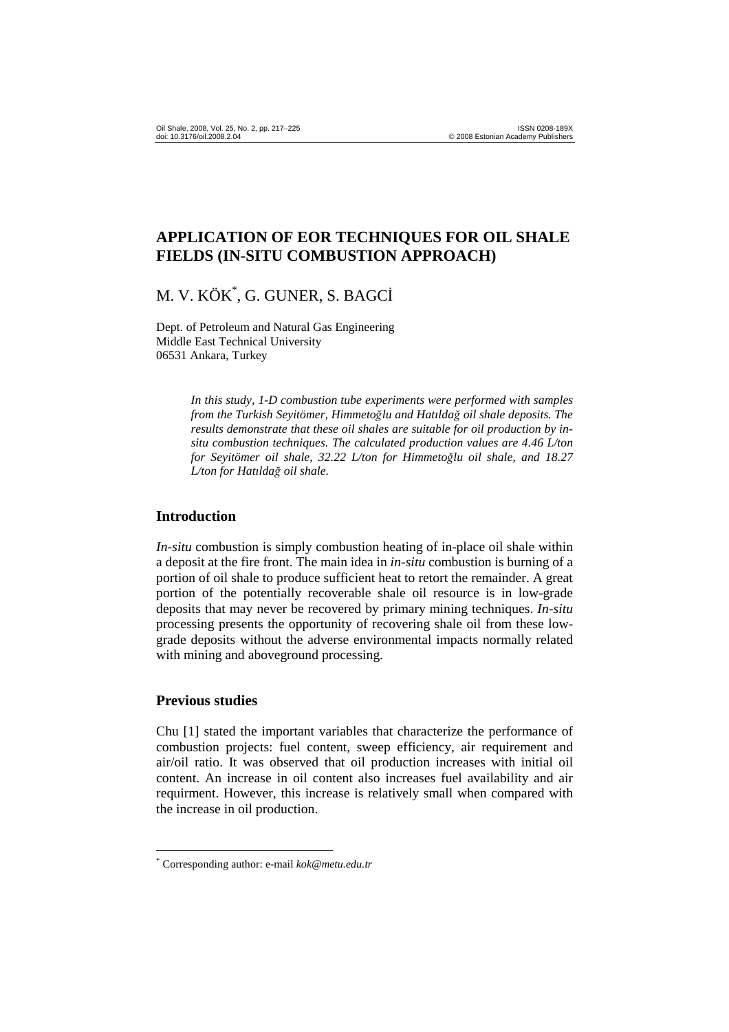# **APPLICATION OF EOR TECHNIQUES FOR OIL SHALE FIELDS (IN-SITU COMBUSTION APPROACH)**

# M. V. KÖK\* , G. GUNER, S. BAGCİ

Dept. of Petroleum and Natural Gas Engineering Middle East Technical University 06531 Ankara, Turkey

> *In this study, 1-D combustion tube experiments were performed with samples from the Turkish Seyitömer, Himmeto*ğ*lu and Hatılda*ğ *oil shale deposits. The results demonstrate that these oil shales are suitable for oil production by insitu combustion techniques. The calculated production values are 4.46 L/ton for Seyitömer oil shale, 32.22 L/ton for Himmeto*ğ*lu oil shale, and 18.27 L/ton for Hatılda*ğ *oil shale.*

### **Introduction**

*In-situ* combustion is simply combustion heating of in-place oil shale within a deposit at the fire front. The main idea in *in-situ* combustion is burning of a portion of oil shale to produce sufficient heat to retort the remainder. A great portion of the potentially recoverable shale oil resource is in low-grade deposits that may never be recovered by primary mining techniques. *In-situ* processing presents the opportunity of recovering shale oil from these lowgrade deposits without the adverse environmental impacts normally related with mining and aboveground processing.

#### **Previous studies**

 $\overline{a}$ 

Chu [1] stated the important variables that characterize the performance of combustion projects: fuel content, sweep efficiency, air requirement and air/oil ratio. It was observed that oil production increases with initial oil content. An increase in oil content also increases fuel availability and air requirment. However, this increase is relatively small when compared with the increase in oil production.

<sup>\*</sup> Corresponding author: e-mail *kok@metu.edu.tr*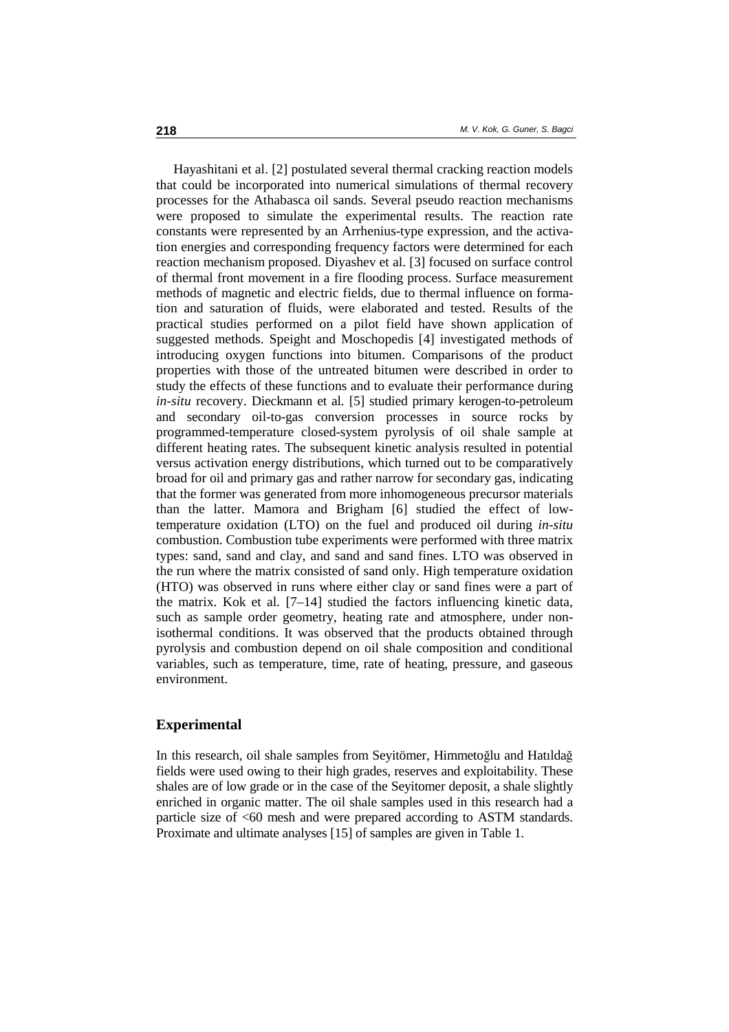Hayashitani et al. [2] postulated several thermal cracking reaction models that could be incorporated into numerical simulations of thermal recovery processes for the Athabasca oil sands. Several pseudo reaction mechanisms were proposed to simulate the experimental results. The reaction rate constants were represented by an Arrhenius-type expression, and the activation energies and corresponding frequency factors were determined for each reaction mechanism proposed. Diyashev et al. [3] focused on surface control of thermal front movement in a fire flooding process. Surface measurement methods of magnetic and electric fields, due to thermal influence on formation and saturation of fluids, were elaborated and tested. Results of the practical studies performed on a pilot field have shown application of suggested methods. Speight and Moschopedis [4] investigated methods of introducing oxygen functions into bitumen. Comparisons of the product properties with those of the untreated bitumen were described in order to study the effects of these functions and to evaluate their performance during *in-situ* recovery. Dieckmann et al*.* [5] studied primary kerogen-to-petroleum and secondary oil-to-gas conversion processes in source rocks by programmed-temperature closed-system pyrolysis of oil shale sample at different heating rates. The subsequent kinetic analysis resulted in potential versus activation energy distributions, which turned out to be comparatively broad for oil and primary gas and rather narrow for secondary gas, indicating that the former was generated from more inhomogeneous precursor materials than the latter. Mamora and Brigham [6] studied the effect of lowtemperature oxidation (LTO) on the fuel and produced oil during *in-situ* combustion. Combustion tube experiments were performed with three matrix types: sand, sand and clay, and sand and sand fines. LTO was observed in the run where the matrix consisted of sand only. High temperature oxidation (HTO) was observed in runs where either clay or sand fines were a part of the matrix. Kok et al*.* [7–14] studied the factors influencing kinetic data, such as sample order geometry, heating rate and atmosphere, under nonisothermal conditions. It was observed that the products obtained through pyrolysis and combustion depend on oil shale composition and conditional variables, such as temperature, time, rate of heating, pressure, and gaseous environment.

#### **Experimental**

In this research, oil shale samples from Seyitömer, Himmetoğlu and Hatılda<sup>ğ</sup> fields were used owing to their high grades, reserves and exploitability. These shales are of low grade or in the case of the Seyitomer deposit, a shale slightly enriched in organic matter. The oil shale samples used in this research had a particle size of <60 mesh and were prepared according to ASTM standards. Proximate and ultimate analyses [15] of samples are given in Table 1.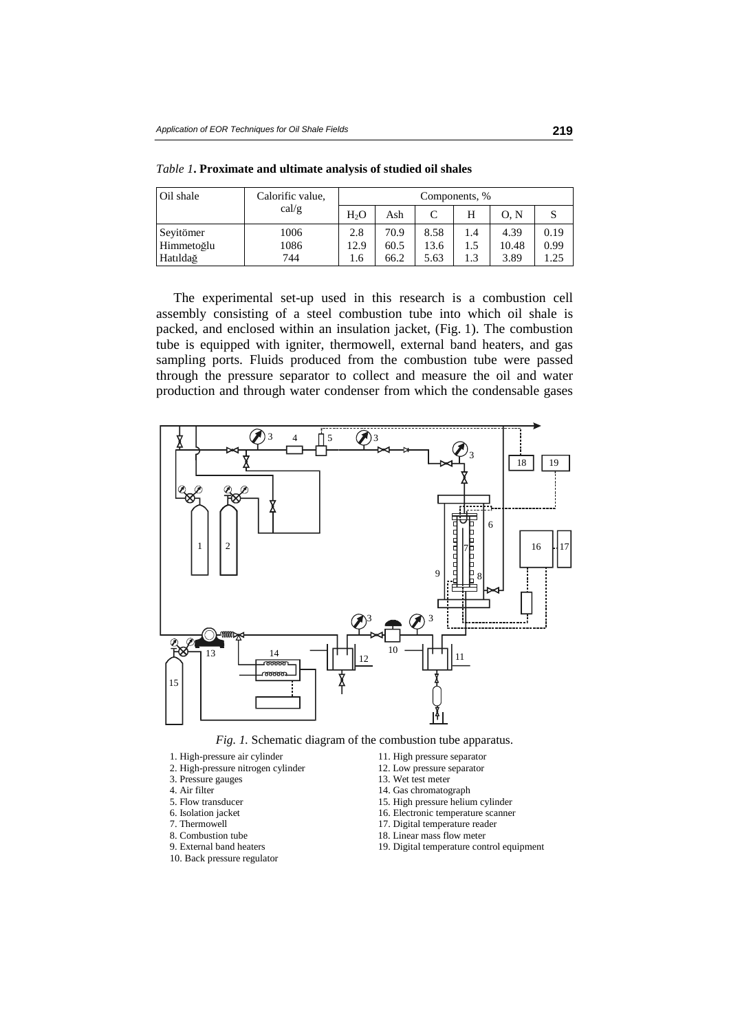| Oil shale  | Calorific value, | Components, %    |      |      |     |       |      |
|------------|------------------|------------------|------|------|-----|-------|------|
|            | cal/g            | H <sub>2</sub> O | Ash  | C    | H   | 0. N  |      |
| Seyitömer  | 1006             | 2.8              | 70.9 | 8.58 | 1.4 | 4.39  | 0.19 |
| Himmetoğlu | 1086             | 12.9             | 60.5 | 13.6 | 1.5 | 10.48 | 0.99 |
| Hatıldağ   | 744              | 1.6              | 66.2 | 5.63 | 1.3 | 3.89  | 1.25 |

*Table 1***. Proximate and ultimate analysis of studied oil shales** 

The experimental set-up used in this research is a combustion cell assembly consisting of a steel combustion tube into which oil shale is packed, and enclosed within an insulation jacket, (Fig. 1). The combustion tube is equipped with igniter, thermowell, external band heaters, and gas sampling ports. Fluids produced from the combustion tube were passed through the pressure separator to collect and measure the oil and water production and through water condenser from which the condensable gases



*Fig. 1.* Schematic diagram of the combustion tube apparatus.

- 1. High-pressure air cylinder 11. High pressure separator<br>
2. High-pressure nitrogen cylinder 12. Low pressure separator
- 2. High-pressure nitrogen cylinder
- 
- 
- 4. Air filter 14. Gas chromatograph<br>5. Flow transducer 15. High pressure heliu
- 
- 
- 
- 8. Combustion tube 18. Linear mass flow meter<br>
19. Digital temperature con<br>
19. Digital temperature con
- 
- 10. Back pressure regulator
- 
- 
- 3. Pressure gauges 13. Wet test meter 4. Air filter 14. Gas chromatog
	-
- 5. Flow transducer 15. High pressure helium cylinder 6. Isolation iacket 16. Electronic temperature scannel
	- 16. Electronic temperature scanner
- 7. Thermowell 17. Digital temperature reader<br>
17. Digital temperature reader<br>
18. Linear mass flow meter
	-
	- 19. Digital temperature control equipment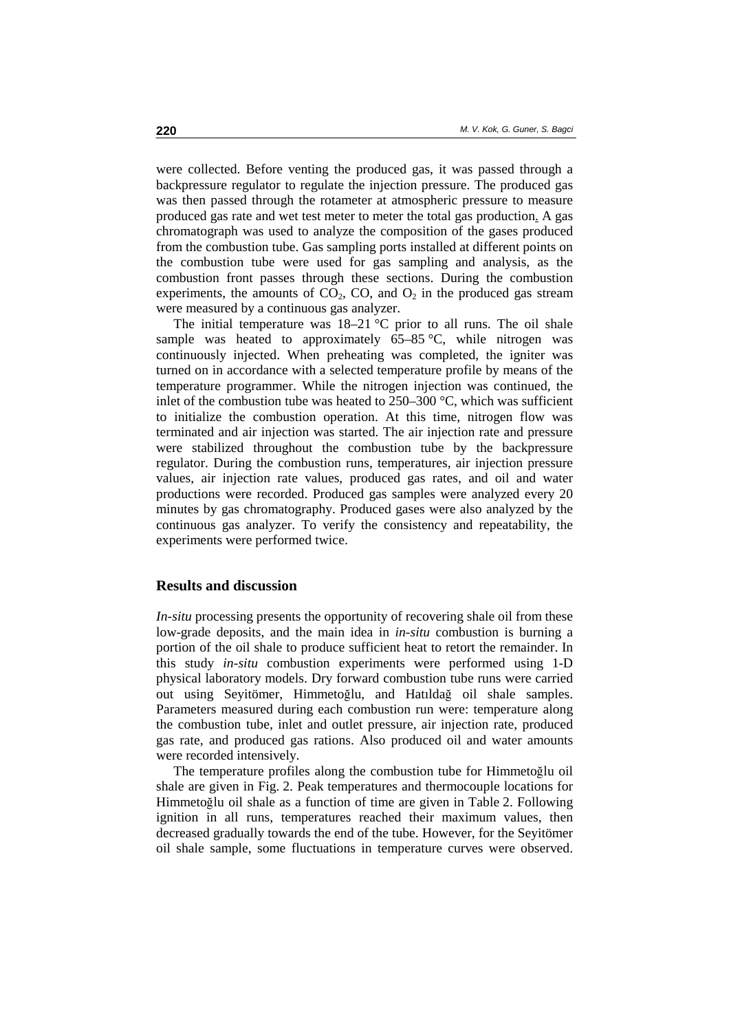were collected. Before venting the produced gas, it was passed through a backpressure regulator to regulate the injection pressure. The produced gas was then passed through the rotameter at atmospheric pressure to measure produced gas rate and wet test meter to meter the total gas production. A gas chromatograph was used to analyze the composition of the gases produced from the combustion tube. Gas sampling ports installed at different points on the combustion tube were used for gas sampling and analysis, as the combustion front passes through these sections. During the combustion experiments, the amounts of  $CO<sub>2</sub>$ ,  $CO<sub>2</sub>$ , and  $O<sub>2</sub>$  in the produced gas stream were measured by a continuous gas analyzer.

The initial temperature was  $18-21$  °C prior to all runs. The oil shale sample was heated to approximately  $65-85$  °C, while nitrogen was continuously injected. When preheating was completed, the igniter was turned on in accordance with a selected temperature profile by means of the temperature programmer. While the nitrogen injection was continued, the inlet of the combustion tube was heated to  $250-300$  °C, which was sufficient to initialize the combustion operation. At this time, nitrogen flow was terminated and air injection was started. The air injection rate and pressure were stabilized throughout the combustion tube by the backpressure regulator. During the combustion runs, temperatures, air injection pressure values, air injection rate values, produced gas rates, and oil and water productions were recorded. Produced gas samples were analyzed every 20 minutes by gas chromatography. Produced gases were also analyzed by the continuous gas analyzer. To verify the consistency and repeatability, the experiments were performed twice.

#### **Results and discussion**

*In-situ* processing presents the opportunity of recovering shale oil from these low-grade deposits, and the main idea in *in-situ* combustion is burning a portion of the oil shale to produce sufficient heat to retort the remainder. In this study *in-situ* combustion experiments were performed using 1-D physical laboratory models. Dry forward combustion tube runs were carried out using Seyitömer, Himmetoğlu, and Hatıldağ oil shale samples. Parameters measured during each combustion run were: temperature along the combustion tube, inlet and outlet pressure, air injection rate, produced gas rate, and produced gas rations. Also produced oil and water amounts were recorded intensively.

The temperature profiles along the combustion tube for Himmetoğlu oil shale are given in Fig. 2. Peak temperatures and thermocouple locations for Himmetoğlu oil shale as a function of time are given in Table 2. Following ignition in all runs, temperatures reached their maximum values, then decreased gradually towards the end of the tube. However, for the Seyitömer oil shale sample, some fluctuations in temperature curves were observed.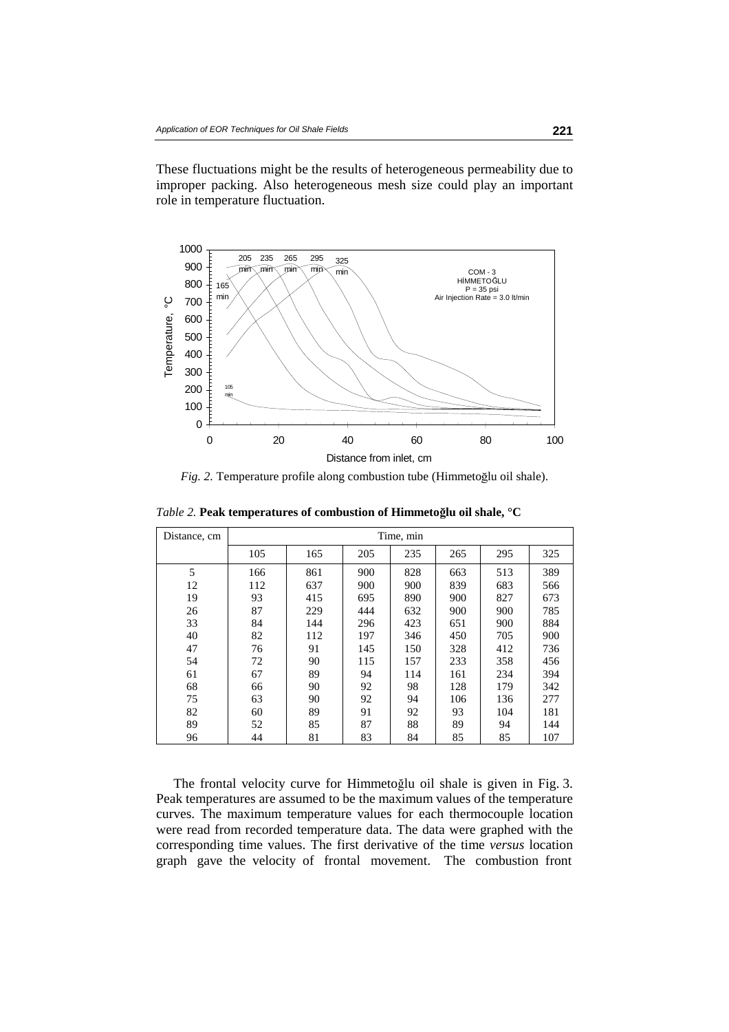These fluctuations might be the results of heterogeneous permeability due to improper packing. Also heterogeneous mesh size could play an important role in temperature fluctuation.



*Fig. 2.* Temperature profile along combustion tube (Himmetoğlu oil shale).

| Distance, cm | Time, min |     |     |     |     |     |     |  |
|--------------|-----------|-----|-----|-----|-----|-----|-----|--|
|              | 105       | 165 | 205 | 235 | 265 | 295 | 325 |  |
| 5            | 166       | 861 | 900 | 828 | 663 | 513 | 389 |  |
| 12           | 112       | 637 | 900 | 900 | 839 | 683 | 566 |  |
| 19           | 93        | 415 | 695 | 890 | 900 | 827 | 673 |  |
| 26           | 87        | 229 | 444 | 632 | 900 | 900 | 785 |  |
| 33           | 84        | 144 | 296 | 423 | 651 | 900 | 884 |  |
| 40           | 82        | 112 | 197 | 346 | 450 | 705 | 900 |  |
| 47           | 76        | 91  | 145 | 150 | 328 | 412 | 736 |  |
| 54           | 72        | 90  | 115 | 157 | 233 | 358 | 456 |  |
| 61           | 67        | 89  | 94  | 114 | 161 | 234 | 394 |  |
| 68           | 66        | 90  | 92  | 98  | 128 | 179 | 342 |  |
| 75           | 63        | 90  | 92  | 94  | 106 | 136 | 277 |  |
| 82           | 60        | 89  | 91  | 92  | 93  | 104 | 181 |  |
| 89           | 52        | 85  | 87  | 88  | 89  | 94  | 144 |  |
| 96           | 44        | 81  | 83  | 84  | 85  | 85  | 107 |  |

*Table 2.* **Peak temperatures of combustion of Himmeto**ğ**lu oil shale, °C**

The frontal velocity curve for Himmetoğlu oil shale is given in Fig. 3. Peak temperatures are assumed to be the maximum values of the temperature curves. The maximum temperature values for each thermocouple location were read from recorded temperature data. The data were graphed with the corresponding time values. The first derivative of the time *versus* location graph gave the velocity of frontal movement. The combustion front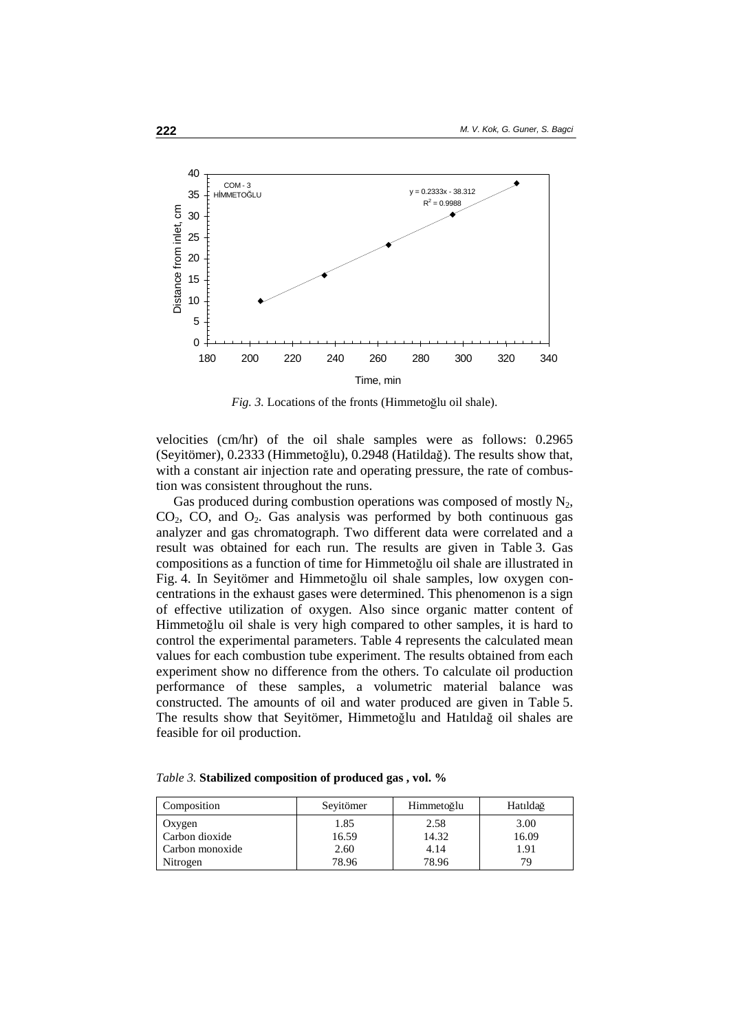

*Fig. 3.* Locations of the fronts (Himmetoğlu oil shale).

velocities (cm/hr) of the oil shale samples were as follows: 0.2965 (Seyitömer), 0.2333 (Himmetoğlu), 0.2948 (Hatildağ). The results show that, with a constant air injection rate and operating pressure, the rate of combustion was consistent throughout the runs.

Gas produced during combustion operations was composed of mostly  $N_2$ ,  $CO<sub>2</sub>$ ,  $CO<sub>2</sub>$ , and  $O<sub>2</sub>$ . Gas analysis was performed by both continuous gas analyzer and gas chromatograph. Two different data were correlated and a result was obtained for each run. The results are given in Table 3. Gas compositions as a function of time for Himmetoğlu oil shale are illustrated in Fig. 4. In Seyitömer and Himmetoğlu oil shale samples, low oxygen concentrations in the exhaust gases were determined. This phenomenon is a sign of effective utilization of oxygen. Also since organic matter content of Himmetoğlu oil shale is very high compared to other samples, it is hard to control the experimental parameters. Table 4 represents the calculated mean values for each combustion tube experiment. The results obtained from each experiment show no difference from the others. To calculate oil production performance of these samples, a volumetric material balance was constructed. The amounts of oil and water produced are given in Table 5. The results show that Seyitömer, Himmetoğlu and Hatıldağ oil shales are feasible for oil production.

|  | Table 3. Stabilized composition of produced gas, vol. % |  |  |
|--|---------------------------------------------------------|--|--|
|  |                                                         |  |  |

| Composition     | Seyitömer | Himmetoğlu | Hatıldağ |
|-----------------|-----------|------------|----------|
| Oxygen          | 1.85      | 2.58       | 3.00     |
| Carbon dioxide  | 16.59     | 14.32      | 16.09    |
| Carbon monoxide | 2.60      | 4.14       | 1.91     |
| Nitrogen        | 78.96     | 78.96      | 79.      |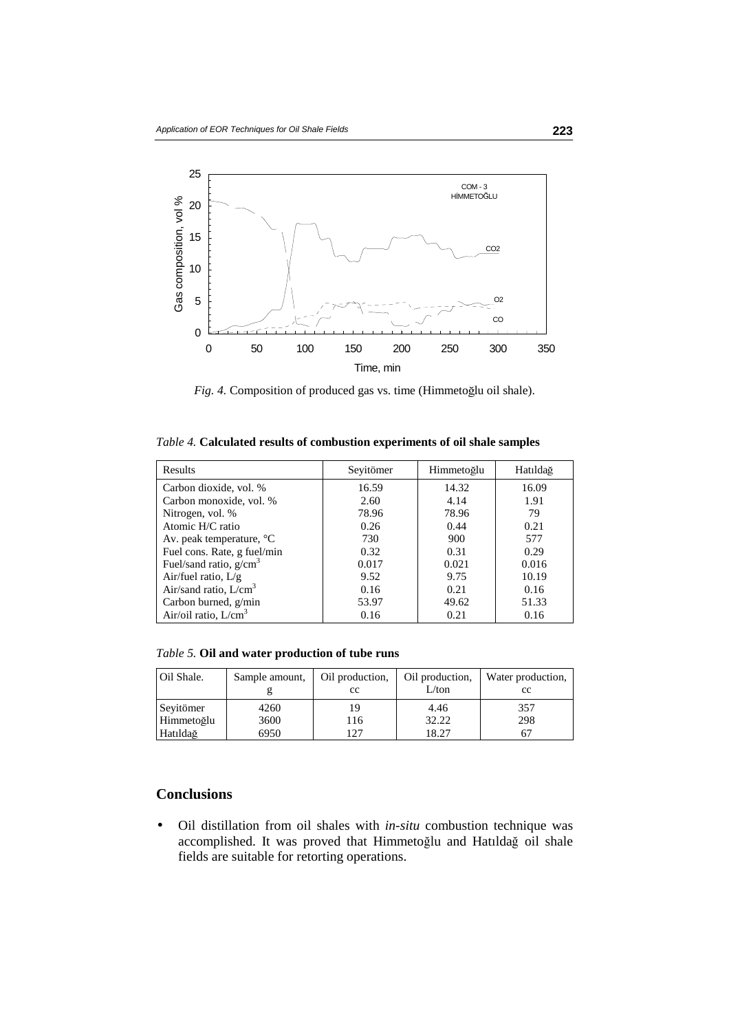

*Fig. 4.* Composition of produced gas vs. time (Himmetoğlu oil shale).

|  |  |  |  |  |  | Table 4. Calculated results of combustion experiments of oil shale samples |
|--|--|--|--|--|--|----------------------------------------------------------------------------|
|--|--|--|--|--|--|----------------------------------------------------------------------------|

| Results                            | Seyitömer | Himmetoğlu | Hatıldağ |
|------------------------------------|-----------|------------|----------|
| Carbon dioxide, vol. %             | 16.59     | 14.32      | 16.09    |
| Carbon monoxide, vol. %            | 2.60      | 4.14       | 1.91     |
| Nitrogen, vol. %                   | 78.96     | 78.96      | 79       |
| Atomic H/C ratio                   | 0.26      | 0.44       | 0.21     |
| Av. peak temperature, $\mathrm{C}$ | 730       | 900        | 577      |
| Fuel cons. Rate, g fuel/min        | 0.32      | 0.31       | 0.29     |
| Fuel/sand ratio, $g/cm3$           | 0.017     | 0.021      | 0.016    |
| Air/fuel ratio, $L/g$              | 9.52      | 9.75       | 10.19    |
| Air/sand ratio, $L/cm3$            | 0.16      | 0.21       | 0.16     |
| Carbon burned, g/min               | 53.97     | 49.62      | 51.33    |
| Air/oil ratio, $L/cm3$             | 0.16      | 0.21       | 0.16     |

*Table 5.* **Oil and water production of tube runs**

| Oil Shale. | Sample amount, | Oil production,<br>cc | Oil production,<br>L/ton | Water production,<br>cc |
|------------|----------------|-----------------------|--------------------------|-------------------------|
| Seyitömer  | 4260           | 19                    | 4.46                     | 357                     |
| Himmetoğlu | 3600           | 116                   | 32.22                    | 298                     |
| Hatıldağ   | 6950           | 127                   | 18.27                    | 67                      |

# **Conclusions**

• Oil distillation from oil shales with *in-situ* combustion technique was accomplished. It was proved that Himmetoğlu and Hatıldağ oil shale fields are suitable for retorting operations.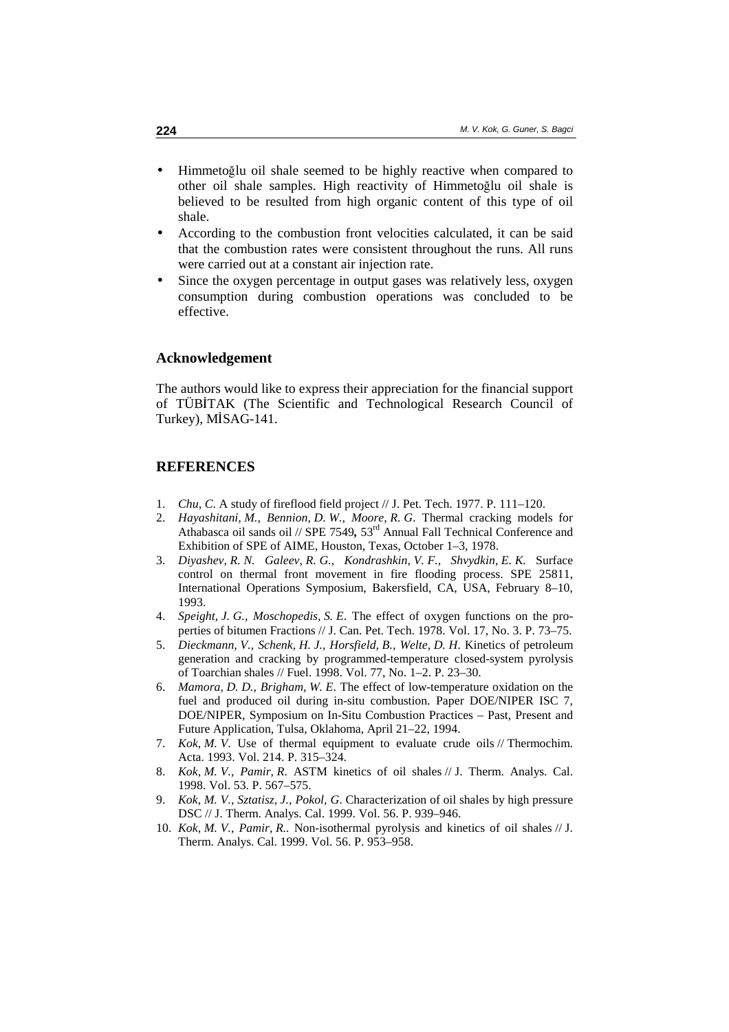- Himmetoğlu oil shale seemed to be highly reactive when compared to other oil shale samples. High reactivity of Himmetoğlu oil shale is believed to be resulted from high organic content of this type of oil shale.
- According to the combustion front velocities calculated, it can be said that the combustion rates were consistent throughout the runs. All runs were carried out at a constant air injection rate.
- Since the oxygen percentage in output gases was relatively less, oxygen consumption during combustion operations was concluded to be effective.

#### **Acknowledgement**

The authors would like to express their appreciation for the financial support of TÜBİTAK (The Scientific and Technological Research Council of Turkey), MİSAG-141.

## **REFERENCES**

- 1. *Chu, C*. A study of fireflood field project // J. Pet. Tech. 1977. P. 111–120.
- 2. *Hayashitani, M., Bennion, D. W., Moore, R. G*. Thermal cracking models for Athabasca oil sands oil // SPE 7549*,* 53rd Annual Fall Technical Conference and Exhibition of SPE of AIME, Houston, Texas, October 1–3, 1978.
- 3. *Diyashev, R. N. Galeev, R. G., Kondrashkin, V. F., Shvydkin, E. K.* Surface control on thermal front movement in fire flooding process. SPE 25811, International Operations Symposium, Bakersfield, CA, USA, February 8–10, 1993.
- 4. *Speight, J. G., Moschopedis, S. E*. The effect of oxygen functions on the properties of bitumen Fractions // J. Can. Pet. Tech. 1978. Vol. 17, No. 3. P. 73–75.
- 5. *Dieckmann, V., Schenk, H. J., Horsfield, B., Welte, D. H*. Kinetics of petroleum generation and cracking by programmed-temperature closed-system pyrolysis of Toarchian shales // Fuel. 1998. Vol. 77, No. 1–2. P. 23–30.
- 6. *Mamora, D. D., Brigham, W. E*. The effect of low-temperature oxidation on the fuel and produced oil during in-situ combustion. Paper DOE/NIPER ISC 7, DOE/NIPER, Symposium on In-Situ Combustion Practices – Past, Present and Future Application, Tulsa, Oklahoma, April 21–22, 1994.
- 7. *Kok, M. V*. Use of thermal equipment to evaluate crude oils // Thermochim. Acta. 1993. Vol. 214. P. 315–324.
- 8. *Kok, M. V., Pamir, R*. ASTM kinetics of oil shales // J. Therm. Analys. Cal. 1998. Vol. 53. P. 567–575.
- 9. *Kok, M. V., Sztatisz, J., Pokol, G*. Characterization of oil shales by high pressure DSC // J. Therm. Analys. Cal. 1999. Vol. 56. P. 939–946.
- 10. *Kok, M. V., Pamir, R..* Non-isothermal pyrolysis and kinetics of oil shales // J. Therm. Analys. Cal. 1999. Vol. 56. P. 953–958.